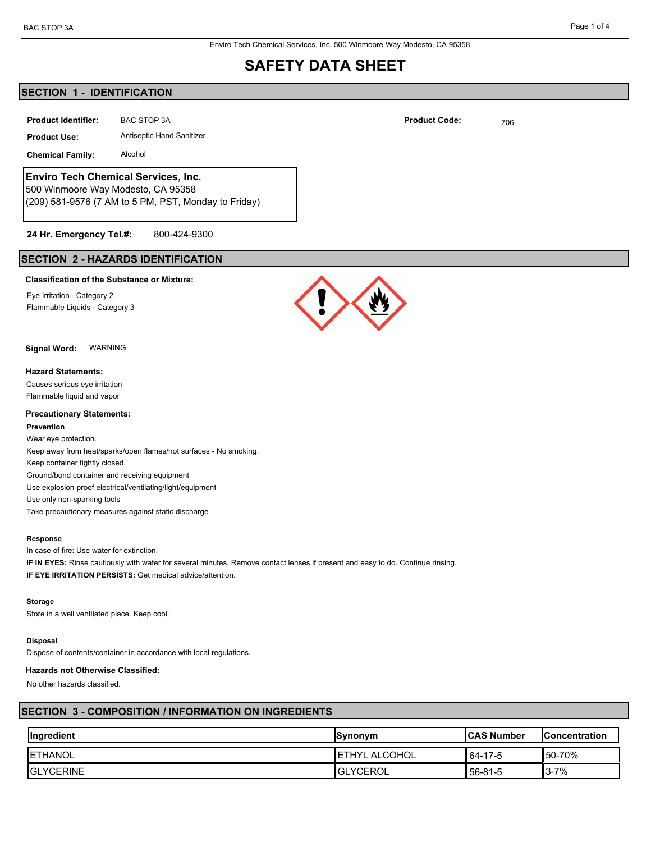Enviro Tech Chemical Services, Inc. 500 Winmoore Way Modesto, CA 95358

# **SAFETY DATA SHEET**

# **SECTION 1 - IDENTIFICATION**

**Product Identifier:** BAC STOP 3A **Product Code:** 706 **Product Code:** 706

**Product Use:** Antiseptic Hand Sanitizer

**Chemical Family:** Alcohol

# **Enviro Tech Chemical Services, Inc.**

500 Winmoore Way Modesto, CA 95358 (209) 581-9576 (7 AM to 5 PM, PST, Monday to Friday)

# **24 Hr. Emergency Tel.#:** 800-424-9300

# **SECTION 2 - HAZARDS IDENTIFICATION**

## **Classification of the Substance or Mixture:**

Eye Irritation - Category 2 Flammable Liquids - Category 3

**Signal Word:** WARNING

### **Hazard Statements:**

Causes serious eye irritation Flammable liquid and vapor

### **Precautionary Statements:**

#### **Prevention**

Wear eye protection. Keep away from heat/sparks/open flames/hot surfaces - No smoking. Keep container tightly closed. Ground/bond container and receiving equipment Use explosion-proof electrical/ventilating/light/equipment Use only non-sparking tools Take precautionary measures against static discharge

#### **Response**

In case of fire: Use water for extinction. **IF IN EYES:** Rinse cautiously with water for several minutes. Remove contact lenses if present and easy to do. Continue rinsing. **IF EYE IRRITATION PERSISTS:** Get medical advice/attention.

#### **Storage**

Store in a well ventilated place. Keep cool.

### **Disposal**

Dispose of contents/container in accordance with local regulations.

#### **Hazards not Otherwise Classified:**

No other hazards classified.

# **SECTION 3 - COMPOSITION / INFORMATION ON INGREDIENTS**

| Ingredient        | <b>Synonym</b>         | <b>ICAS Number</b> | <b>Concentration</b> |
|-------------------|------------------------|--------------------|----------------------|
| <b>IETHANOL</b>   | <b>I ETHYL ALCOHOL</b> | 64-17-5            | 50-70%               |
| <b>IGLYCERINE</b> | <b>IGLYCEROL</b>       | 56-81-5            | $3 - 7%$             |

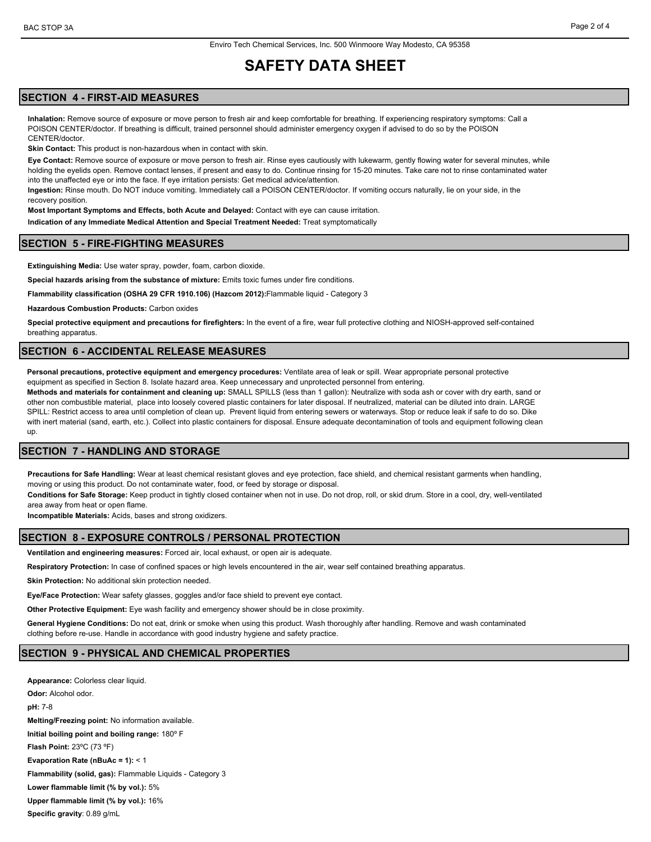# **SAFETY DATA SHEET**

# **SECTION 4 - FIRST-AID MEASURES**

**Inhalation:** Remove source of exposure or move person to fresh air and keep comfortable for breathing. If experiencing respiratory symptoms: Call a POISON CENTER/doctor. If breathing is difficult, trained personnel should administer emergency oxygen if advised to do so by the POISON CENTER/doctor.

**Skin Contact:** This product is non-hazardous when in contact with skin.

**Eye Contact:** Remove source of exposure or move person to fresh air. Rinse eyes cautiously with lukewarm, gently flowing water for several minutes, while holding the eyelids open. Remove contact lenses, if present and easy to do. Continue rinsing for 15-20 minutes. Take care not to rinse contaminated water into the unaffected eye or into the face. If eye irritation persists: Get medical advice/attention.

**Ingestion:** Rinse mouth. Do NOT induce vomiting. Immediately call a POISON CENTER/doctor. If vomiting occurs naturally, lie on your side, in the recovery position.

**Most Important Symptoms and Effects, both Acute and Delayed:** Contact with eye can cause irritation.

**Indication of any Immediate Medical Attention and Special Treatment Needed:** Treat symptomatically

#### **SECTION 5 - FIRE-FIGHTING MEASURES**

**Extinguishing Media:** Use water spray, powder, foam, carbon dioxide.

**Special hazards arising from the substance of mixture:** Emits toxic fumes under fire conditions.

**Flammability classification (OSHA 29 CFR 1910.106) (Hazcom 2012):**Flammable liquid - Category 3

**Hazardous Combustion Products:** Carbon oxides

**Special protective equipment and precautions for firefighters:** In the event of a fire, wear full protective clothing and NIOSH-approved self-contained breathing apparatus.

### **SECTION 6 - ACCIDENTAL RELEASE MEASURES**

**Personal precautions, protective equipment and emergency procedures:** Ventilate area of leak or spill. Wear appropriate personal protective equipment as specified in Section 8. Isolate hazard area. Keep unnecessary and unprotected personnel from entering.

**Methods and materials for containment and cleaning up:** SMALL SPILLS (less than 1 gallon): Neutralize with soda ash or cover with dry earth, sand or other non combustible material, place into loosely covered plastic containers for later disposal. If neutralized, material can be diluted into drain. LARGE SPILL: Restrict access to area until completion of clean up. Prevent liquid from entering sewers or waterways. Stop or reduce leak if safe to do so. Dike with inert material (sand, earth, etc.). Collect into plastic containers for disposal. Ensure adequate decontamination of tools and equipment following clean up.

#### **SECTION 7 - HANDLING AND STORAGE**

**Precautions for Safe Handling:** Wear at least chemical resistant gloves and eye protection, face shield, and chemical resistant garments when handling, moving or using this product. Do not contaminate water, food, or feed by storage or disposal.

**Conditions for Safe Storage:** Keep product in tightly closed container when not in use. Do not drop, roll, or skid drum. Store in a cool, dry, well-ventilated area away from heat or open flame.

**Incompatible Materials:** Acids, bases and strong oxidizers.

### **SECTION 8 - EXPOSURE CONTROLS / PERSONAL PROTECTION**

**Ventilation and engineering measures:** Forced air, local exhaust, or open air is adequate.

**Respiratory Protection:** In case of confined spaces or high levels encountered in the air, wear self contained breathing apparatus.

**Skin Protection:** No additional skin protection needed.

**Eye/Face Protection:** Wear safety glasses, goggles and/or face shield to prevent eye contact.

**Other Protective Equipment:** Eye wash facility and emergency shower should be in close proximity.

**General Hygiene Conditions:** Do not eat, drink or smoke when using this product. Wash thoroughly after handling. Remove and wash contaminated clothing before re-use. Handle in accordance with good industry hygiene and safety practice.

## **SECTION 9 - PHYSICAL AND CHEMICAL PROPERTIES**

**Appearance:** Colorless clear liquid. **Odor:** Alcohol odor. **pH:** 7-8 **Melting/Freezing point:** No information available. **Initial boiling point and boiling range:** 180º F **Flash Point:** 23ºC (73 ºF) **Evaporation Rate (nBuAc = 1):** < 1 **Flammability (solid, gas):** Flammable Liquids - Category 3 **Lower flammable limit (% by vol.):** 5% **Upper flammable limit (% by vol.):** 16% **Specific gravity**: 0.89 g/mL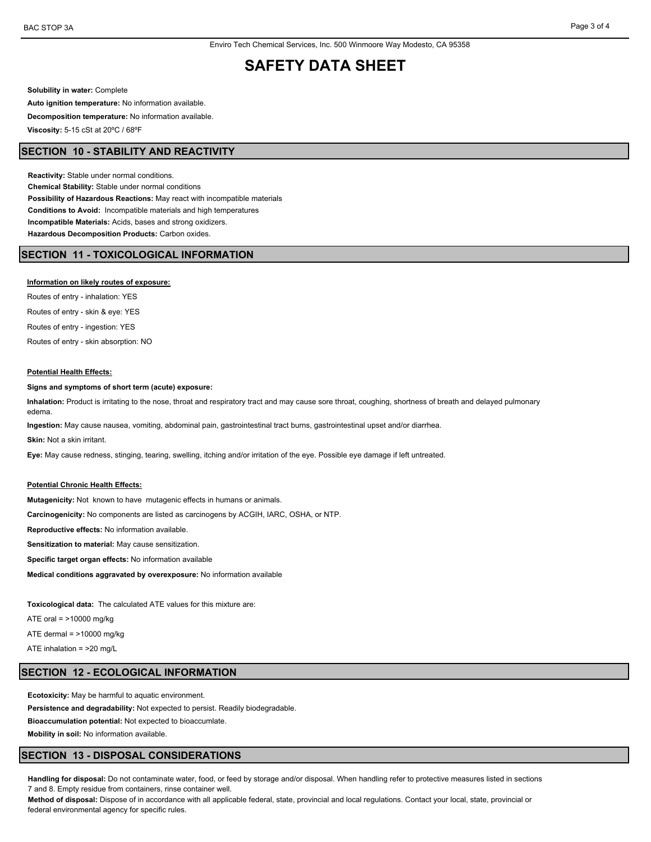# **SAFETY DATA SHEET**

**Solubility in water:** Complete **Auto ignition temperature:** No information available. **Decomposition temperature:** No information available. **Viscosity:** 5-15 cSt at 20ºC / 68ºF

# **SECTION 10 - STABILITY AND REACTIVITY**

**Reactivity:** Stable under normal conditions. **Chemical Stability:** Stable under normal conditions **Possibility of Hazardous Reactions:** May react with incompatible materials **Conditions to Avoid:** Incompatible materials and high temperatures **Incompatible Materials:** Acids, bases and strong oxidizers. **Hazardous Decomposition Products:** Carbon oxides.

# **SECTION 11 - TOXICOLOGICAL INFORMATION**

#### **Information on likely routes of exposure:**

Routes of entry - inhalation: YES Routes of entry - skin & eye: YES Routes of entry - ingestion: YES Routes of entry - skin absorption: NO

#### **Potential Health Effects:**

**Signs and symptoms of short term (acute) exposure:**

**Inhalation:** Product is irritating to the nose, throat and respiratory tract and may cause sore throat, coughing, shortness of breath and delayed pulmonary edema.

**Ingestion:** May cause nausea, vomiting, abdominal pain, gastrointestinal tract burns, gastrointestinal upset and/or diarrhea.

**Skin:** Not a skin irritant.

**Eye:** May cause redness, stinging, tearing, swelling, itching and/or irritation of the eye. Possible eye damage if left untreated.

#### **Potential Chronic Health Effects:**

**Mutagenicity:** Not known to have mutagenic effects in humans or animals.

**Carcinogenicity:** No components are listed as carcinogens by ACGIH, IARC, OSHA, or NTP.

**Reproductive effects:** No information available.

**Sensitization to material:** May cause sensitization.

**Specific target organ effects:** No information available

**Medical conditions aggravated by overexposure:** No information available

**Toxicological data:** The calculated ATE values for this mixture are:

ATE oral = >10000 mg/kg

ATE dermal  $=$  >10000 mg/kg

ATE inhalation = >20 mg/L

# **SECTION 12 - ECOLOGICAL INFORMATION**

**Ecotoxicity:** May be harmful to aquatic environment.

**Persistence and degradability:** Not expected to persist. Readily biodegradable.

**Bioaccumulation potential:** Not expected to bioaccumlate.

**Mobility in soil:** No information available.

## **SECTION 13 - DISPOSAL CONSIDERATIONS**

**Handling for disposal:** Do not contaminate water, food, or feed by storage and/or disposal. When handling refer to protective measures listed in sections 7 and 8. Empty residue from containers, rinse container well.

**Method of disposal:** Dispose of in accordance with all applicable federal, state, provincial and local regulations. Contact your local, state, provincial or federal environmental agency for specific rules.